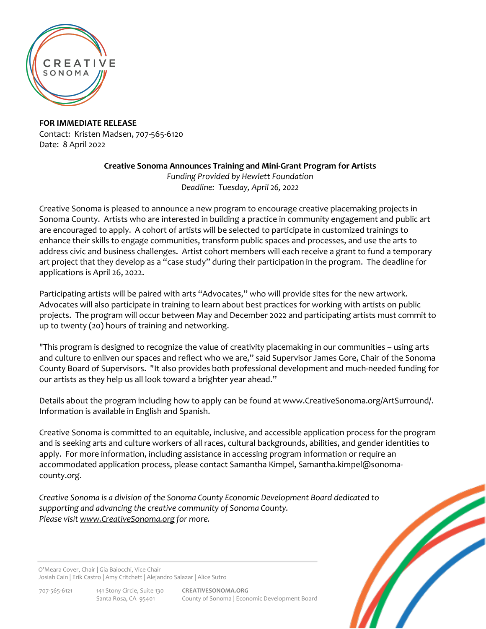

**FOR IMMEDIATE RELEASE** Contact: Kristen Madsen, 707-565-6120 Date: 8 April 2022

**Creative Sonoma Announces Training and Mini-Grant Program for Artists**

*Funding Provided by Hewlett Foundation Deadline: Tuesday, April 26, 2022*

Creative Sonoma is pleased to announce a new program to encourage creative placemaking projects in Sonoma County. Artists who are interested in building a practice in community engagement and public art are encouraged to apply. A cohort of artists will be selected to participate in customized trainings to enhance their skills to engage communities, transform public spaces and processes, and use the arts to address civic and business challenges. Artist cohort members will each receive a grant to fund a temporary art project that they develop as a "case study" during their participation in the program. The deadline for applications is April 26, 2022.

Participating artists will be paired with arts "Advocates," who will provide sites for the new artwork. Advocates will also participate in training to learn about best practices for working with artists on public projects. The program will occur between May and December 2022 and participating artists must commit to up to twenty (20) hours of training and networking.

"This program is designed to recognize the value of creativity placemaking in our communities – using arts and culture to enliven our spaces and reflect who we are," said Supervisor James Gore, Chair of the Sonoma County Board of Supervisors. "It also provides both professional development and much-needed funding for our artists as they help us all look toward a brighter year ahead."

Details about the program including how to apply can be found at [www.CreativeSonoma.org/ArtSurround/.](http://www.creativesonoma.org/ArtSurround/) Information is available in English and Spanish.

Creative Sonoma is committed to an equitable, inclusive, and accessible application process for the program and is seeking arts and culture workers of all races, cultural backgrounds, abilities, and gender identities to apply. For more information, including assistance in accessing program information or require an accommodated application process, please contact Samantha Kimpel, Samantha.kimpel@sonomacounty.org.

*Creative Sonoma is a division of the Sonoma County Economic Development Board dedicated to supporting and advancing the creative community of Sonoma County. Please visit [www.CreativeSonoma.org](http://www.creativesonoma.org/) for more.*

O'Meara Cover, Chair | Gia Baiocchi, Vice Chair Josiah Cain | Erik Castro | Amy Critchett | Alejandro Salazar | Alice Sutro

707-565-6121 141 Stony Circle, Suite 130 **CREATIVESONOMA.ORG** Santa Rosa, CA 95401 County of Sonoma | Economic Development Board